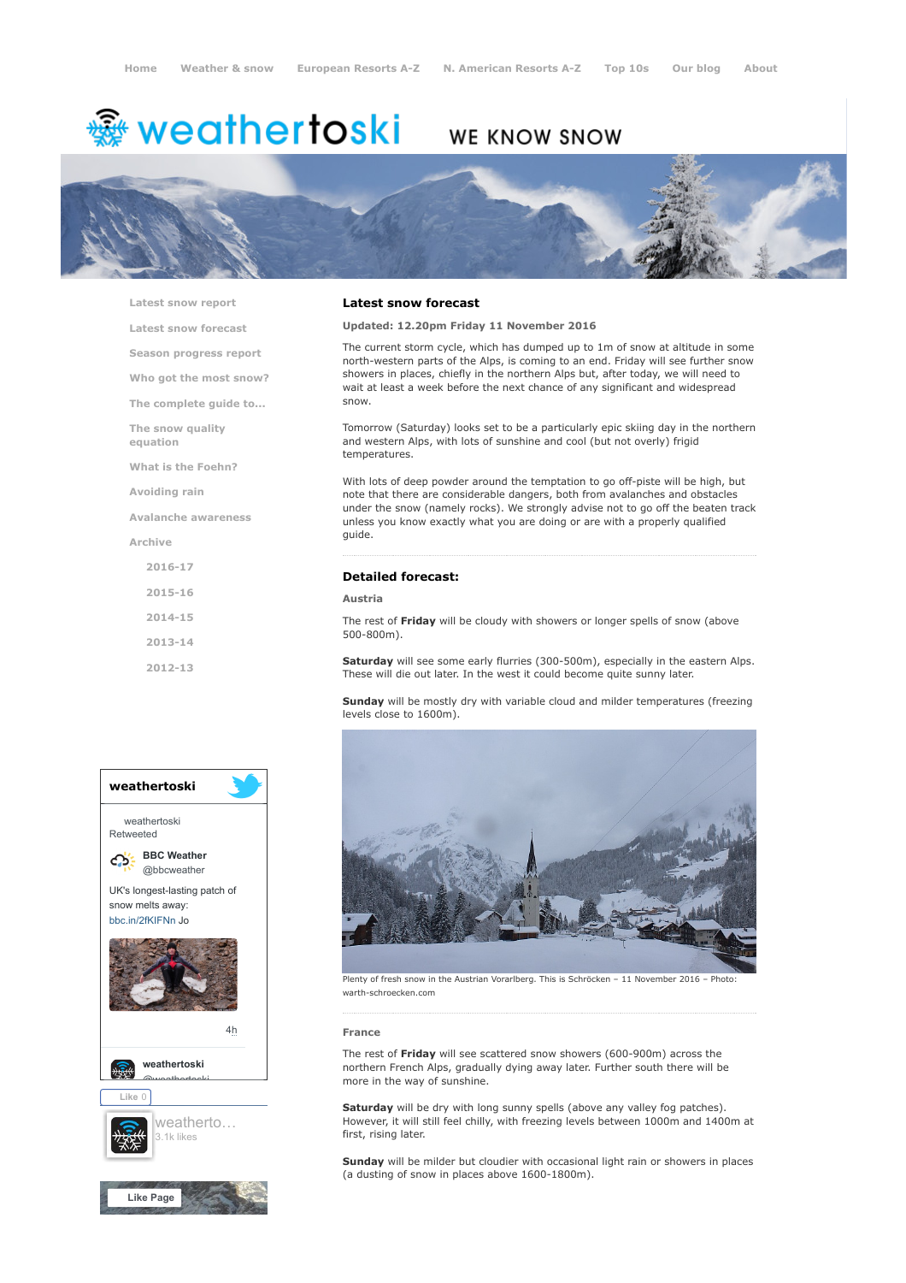# <del>鑾</del> weathertoski

# WE KNOW SNOW



[Latest snow report](https://www.weathertoski.co.uk/weather-snow/latest-snow-report/)

[Latest snow forecast](https://www.weathertoski.co.uk/weather-snow/latest-snow-forecast/)

[Season progress report](https://www.weathertoski.co.uk/weather-snow/season-progress-report/)

[Who got the most snow?](https://www.weathertoski.co.uk/weather-snow/who-got-the-most-snow/)

[The complete guide to...](https://www.weathertoski.co.uk/weather-snow/the-complete-guide-to/)

[The snow quality](https://www.weathertoski.co.uk/weather-snow/the-snow-quality-equation/)

[What is the Foehn?](https://www.weathertoski.co.uk/weather-snow/what-is-the-foehn/)

[Avoiding rain](https://www.weathertoski.co.uk/weather-snow/avoiding-rain/)

[Avalanche awareness](https://www.weathertoski.co.uk/weather-snow/avalanche-awareness/)

[Archive](https://www.weathertoski.co.uk/weather-snow/archive/)

equation

[2016-17](https://www.weathertoski.co.uk/weather-snow/archive/2016-17/) [2015-16](https://www.weathertoski.co.uk/weather-snow/archive/2015-16/) [2014-15](https://www.weathertoski.co.uk/weather-snow/archive/2014-15/) [2013-14](https://www.weathertoski.co.uk/weather-snow/archive/2013-14/) [2012-13](https://www.weathertoski.co.uk/weather-snow/archive/2012-13/)

# weathertoski weathertoski Retweeted [BBC Weather](https://twitter.com/bbcweather) ය @bbcweather UK's longest-lasting patch of snow melts away: [bbc.in/2fKIFNn](https://t.co/dEQbIDXwfC) Jo [4h](https://twitter.com/bbcweather/status/914797391722795008) [weathertoski](https://twitter.com/weathertoski) <u>Quanthortoski</u> Like 0 [weatherto…](https://www.facebook.com/weathertoski/) 3.1k likes



### Latest snow forecast

Updated: 12.20pm Friday 11 November 2016

The current storm cycle, which has dumped up to 1m of snow at altitude in some north-western parts of the Alps, is coming to an end. Friday will see further snow showers in places, chiefly in the northern Alps but, after today, we will need to wait at least a week before the next chance of any significant and widespread snow.

Tomorrow (Saturday) looks set to be a particularly epic skiing day in the northern and western Alps, with lots of sunshine and cool (but not overly) frigid temperatures.

With lots of deep powder around the temptation to go off-piste will be high, but note that there are considerable dangers, both from avalanches and obstacles under the snow (namely rocks). We strongly advise not to go off the beaten track unless you know exactly what you are doing or are with a properly qualified guide.

# Detailed forecast:

# Austria

The rest of Friday will be cloudy with showers or longer spells of snow (above 500-800m).

Saturday will see some early flurries (300-500m), especially in the eastern Alps. These will die out later. In the west it could become quite sunny later.

Sunday will be mostly dry with variable cloud and milder temperatures (freezing levels close to 1600m).



Plenty of fresh snow in the Austrian Vorarlberg. This is Schröcken – 11 November 2016 – Photo: warth-schroecken.com

#### France

The rest of Friday will see scattered snow showers (600-900m) across the northern French Alps, gradually dying away later. Further south there will be more in the way of sunshine.

Saturday will be dry with long sunny spells (above any valley fog patches). However, it will still feel chilly, with freezing levels between 1000m and 1400m at first, rising later.

Sunday will be milder but cloudier with occasional light rain or showers in places (a dusting of snow in places above 1600-1800m).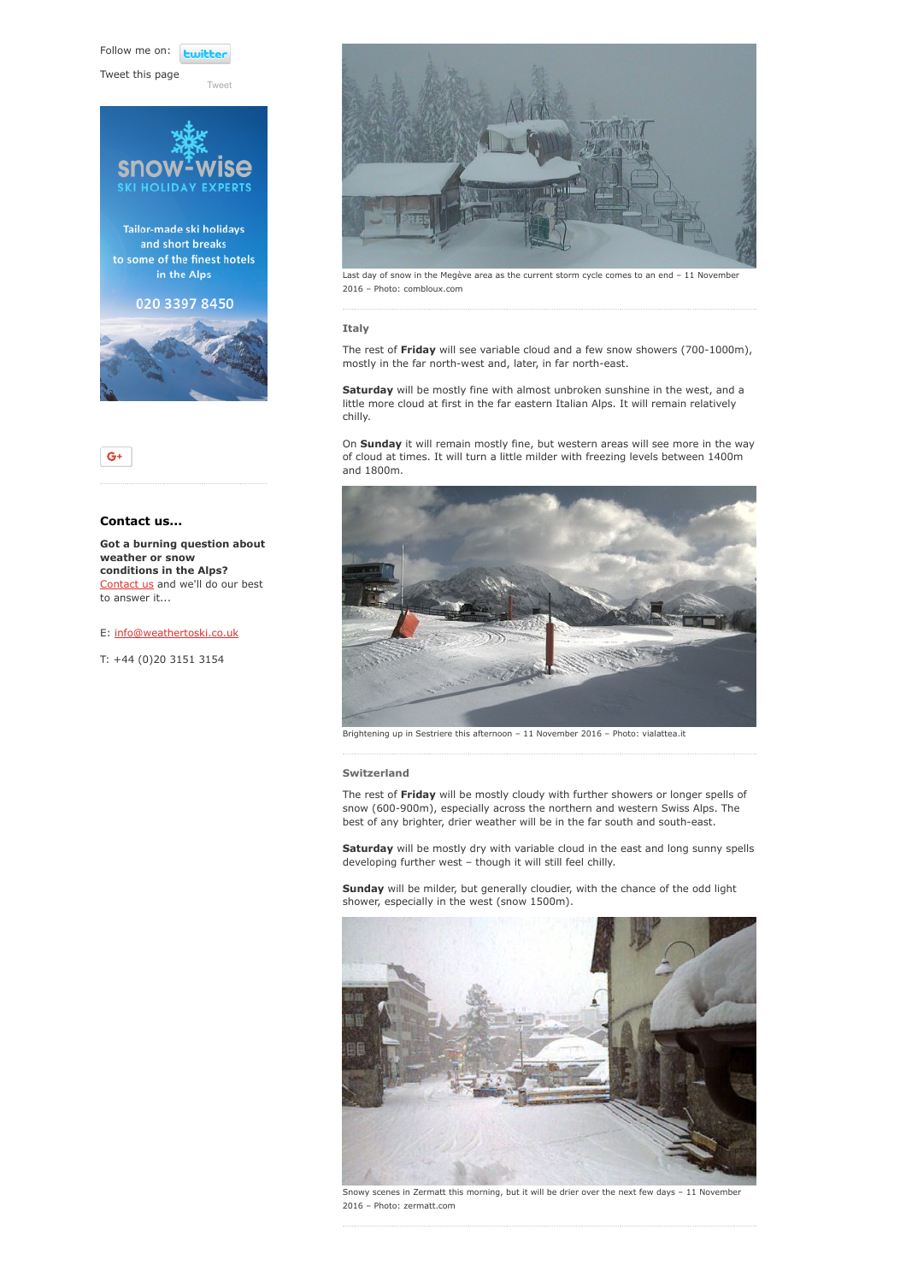Follow me on: **Luitt** 

[Tweet](https://twitter.com/intent/tweet?original_referer=https%3A%2F%2Fwww.weathertoski.co.uk%2Fweather-snow%2Farchive%2Fsnow-forecast-11-11-2016%2F&ref_src=twsrc%5Etfw&text=Weather%20to%20ski%20-%20Snow%20forecast%20-%2011%20November%202016&tw_p=tweetbutton&url=https%3A%2F%2Fwww.weathertoski.co.uk%2Fweather-snow%2Farchive%2Fsnow-forecast-11-11-2016%2F)

Tweet this page





# Contact us...

Got a burning question about weather or snow conditions in the Alps? [Contact us](https://www.weathertoski.co.uk/about-1/contact-us/) and we'll do our best to answer it...

# E: [info@weathertoski.co.uk](mailto:fraser@weathertoski.co.uk)

T: +44 (0)20 3151 3154



Last day of snow in the Megève area as the current storm cycle comes to an end – 11 November 2016 – Photo: combloux.com

### Italy

The rest of Friday will see variable cloud and a few snow showers (700-1000m), mostly in the far north-west and, later, in far north-east.

Saturday will be mostly fine with almost unbroken sunshine in the west, and a little more cloud at first in the far eastern Italian Alps. It will remain relatively chilly.

On Sunday it will remain mostly fine, but western areas will see more in the way of cloud at times. It will turn a little milder with freezing levels between 1400m and 1800m.



Brightening up in Sestriere this afternoon – 11 November 2016 – Photo: vialattea.it

# Switzerland

The rest of Friday will be mostly cloudy with further showers or longer spells of snow (600-900m), especially across the northern and western Swiss Alps. The best of any brighter, drier weather will be in the far south and south-east.

Saturday will be mostly dry with variable cloud in the east and long sunny spells developing further west – though it will still feel chilly.

Sunday will be milder, but generally cloudier, with the chance of the odd light shower, especially in the west (snow 1500m).



Snowy scenes in Zermatt this morning, but it will be drier over the next few days – 11 November 2016 – Photo: zermatt.com